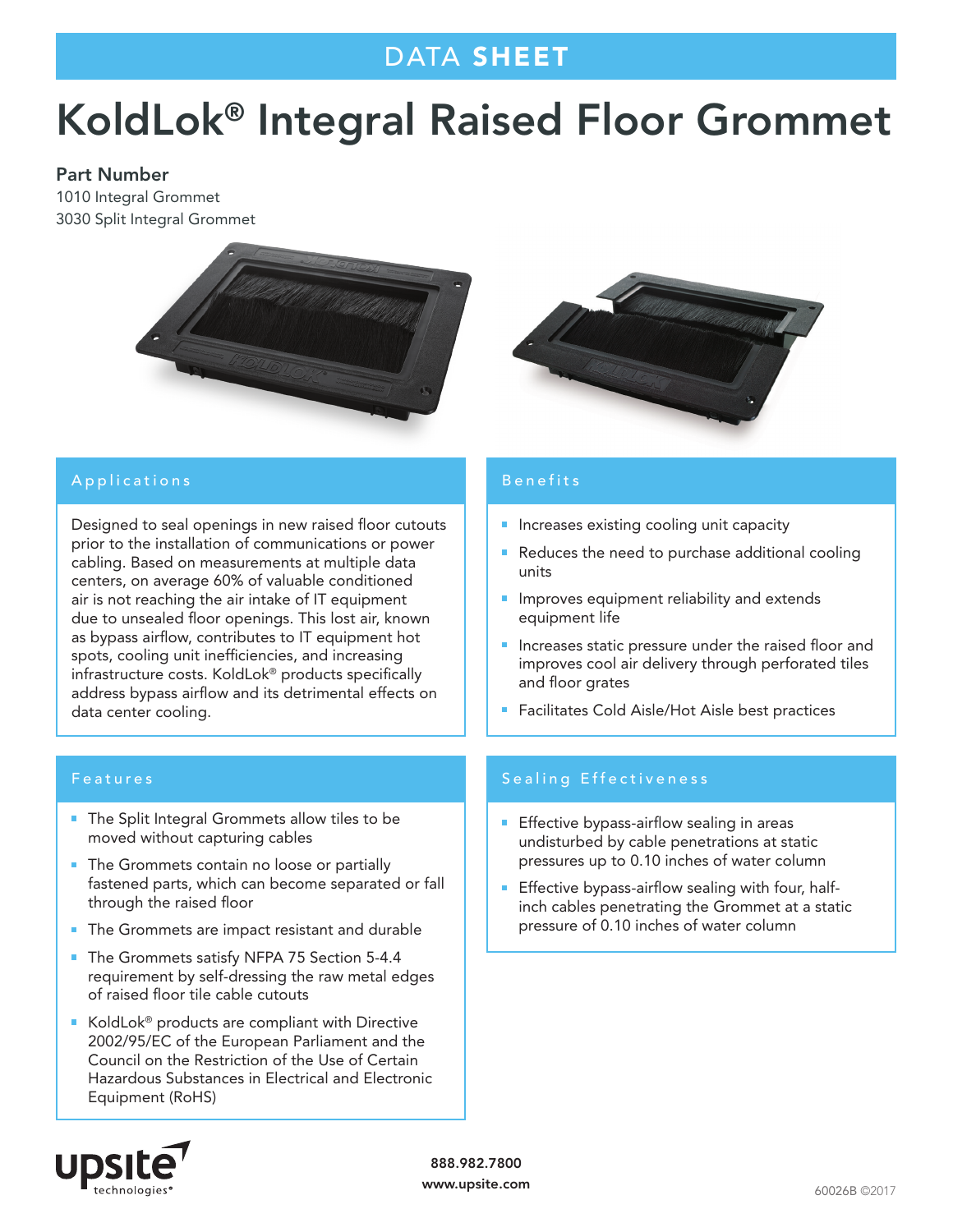## DATA SHEET

# KoldLok® Integral Raised Floor Grommet

#### Part Number

1010 Integral Grommet 3030 Split Integral Grommet





Designed to seal openings in new raised floor cutouts prior to the installation of communications or power cabling. Based on measurements at multiple data centers, on average 60% of valuable conditioned air is not reaching the air intake of IT equipment due to unsealed floor openings. This lost air, known as bypass airflow, contributes to IT equipment hot spots, cooling unit inefficiencies, and increasing infrastructure costs. KoldLok® products specifically address bypass airflow and its detrimental effects on data center cooling.

#### Features

- The Split Integral Grommets allow tiles to be moved without capturing cables
- **The Grommets contain no loose or partially** fastened parts, which can become separated or fall through the raised floor
- The Grommets are impact resistant and durable
- The Grommets satisfy NFPA 75 Section 5-4.4 requirement by self-dressing the raw metal edges of raised floor tile cable cutouts
- KoldLok<sup>®</sup> products are compliant with Directive 2002/95/EC of the European Parliament and the Council on the Restriction of the Use of Certain Hazardous Substances in Electrical and Electronic Equipment (RoHS)



## Benefits

- **Increases existing cooling unit capacity**
- m. Reduces the need to purchase additional cooling units
- **Improves equipment reliability and extends** equipment life
- **Increases static pressure under the raised floor and** improves cool air delivery through perforated tiles and floor grates
- Facilitates Cold Aisle/Hot Aisle best practices

### Sealing Effectiveness

- **Effective bypass-airflow sealing in areas** undisturbed by cable penetrations at static pressures up to 0.10 inches of water column
- Ū. Effective bypass-airflow sealing with four, halfinch cables penetrating the Grommet at a static pressure of 0.10 inches of water column